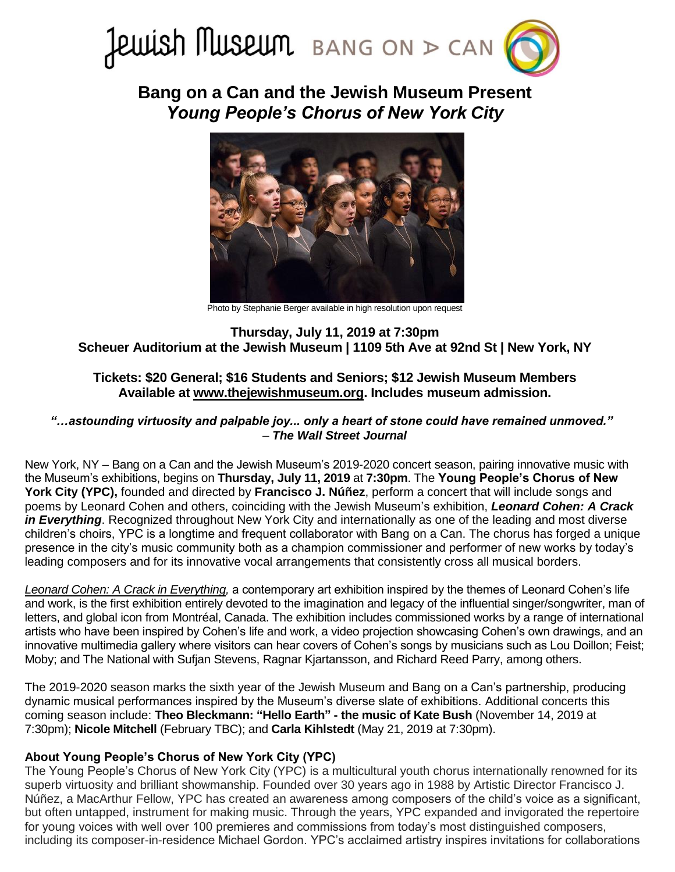

**Bang on a Can and the Jewish Museum Present** *Young People's Chorus of New York City*



Photo by Stephanie Berger available in high resolution upon request

## **Thursday, July 11, 2019 at 7:30pm Scheuer Auditorium at the Jewish Museum | 1109 5th Ave at 92nd St | New York, NY**

# **Tickets: \$20 General; \$16 Students and Seniors; \$12 Jewish Museum Members Available at [www.thejewishmuseum.org.](https://thejewishmuseum.org/calendar/events/2019/07/11/young-peoples-chorus-nyc) Includes museum admission.**

## *"…astounding virtuosity and palpable joy... only a heart of stone could have remained unmoved."* – *The Wall Street Journal*

New York, NY – Bang on a Can and the Jewish Museum's 2019-2020 concert season, pairing innovative music with the Museum's exhibitions, begins on **Thursday, July 11, 2019** at **7:30pm**. The **Young People's Chorus of New York City (YPC),** founded and directed by **Francisco J. Núñez**, perform a concert that will include songs and poems by Leonard Cohen and others, coinciding with the Jewish Museum's exhibition, *Leonard Cohen: A Crack in Everything*. Recognized throughout New York City and internationally as one of the leading and most diverse children's choirs, YPC is a longtime and frequent collaborator with Bang on a Can. The chorus has forged a unique presence in the city's music community both as a champion commissioner and performer of new works by today's leading composers and for its innovative vocal arrangements that consistently cross all musical borders.

*[Leonard Cohen: A Crack in Everything,](https://thejewishmuseum.org/exhibitions/leonard-cohen-a-crack-in-everything)* a contemporary art exhibition inspired by the themes of Leonard Cohen's life and work, is the first exhibition entirely devoted to the imagination and legacy of the influential singer/songwriter, man of letters, and global icon from Montréal, Canada. The exhibition includes commissioned works by a range of international artists who have been inspired by Cohen's life and work, a video projection showcasing Cohen's own drawings, and an innovative multimedia gallery where visitors can hear covers of Cohen's songs by musicians such as Lou Doillon; Feist; Moby; and The National with Sufjan Stevens, Ragnar Kjartansson, and Richard Reed Parry, among others.

The 2019-2020 season marks the sixth year of the Jewish Museum and Bang on a Can's partnership, producing dynamic musical performances inspired by the Museum's diverse slate of exhibitions. Additional concerts this coming season include: **Theo Bleckmann: "Hello Earth" - the music of Kate Bush** (November 14, 2019 at 7:30pm); **Nicole Mitchell** (February TBC); and **Carla Kihlstedt** (May 21, 2019 at 7:30pm).

# **About Young People's Chorus of New York City (YPC)**

The Young People's Chorus of New York City (YPC) is a multicultural youth chorus internationally renowned for its superb virtuosity and brilliant showmanship. Founded over 30 years ago in 1988 by Artistic Director Francisco J. Núñez, a MacArthur Fellow, YPC has created an awareness among composers of the child's voice as a significant, but often untapped, instrument for making music. Through the years, YPC expanded and invigorated the repertoire for young voices with well over 100 premieres and commissions from today's most distinguished composers, including its composer-in-residence Michael Gordon. YPC's acclaimed artistry inspires invitations for collaborations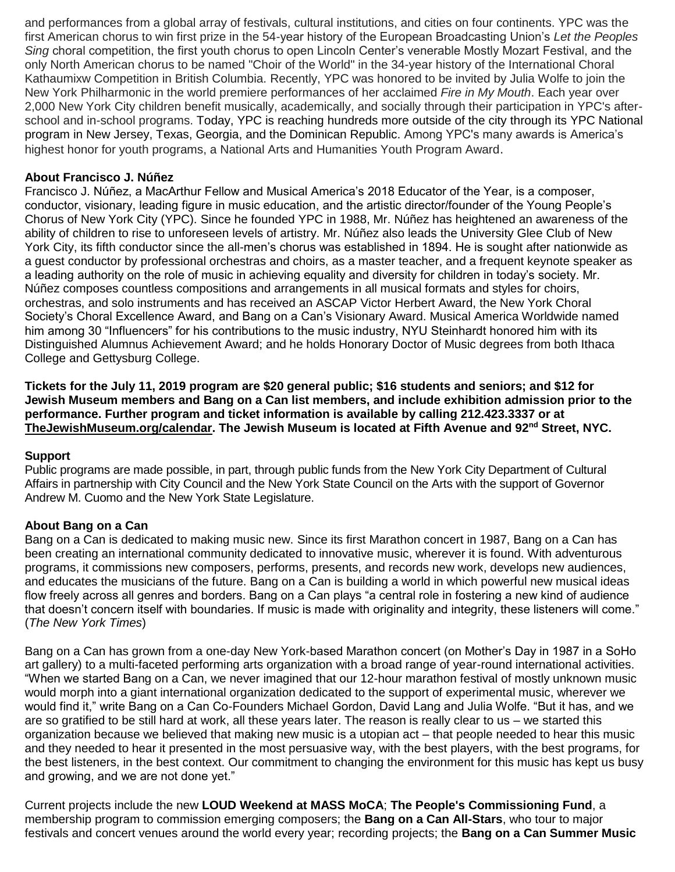and performances from a global array of festivals, cultural institutions, and cities on four continents. YPC was the first American chorus to win first prize in the 54-year history of the European Broadcasting Union's *Let the Peoples Sing* choral competition, the first youth chorus to open Lincoln Center's venerable Mostly Mozart Festival, and the only North American chorus to be named "Choir of the World" in the 34-year history of the International Choral Kathaumixw Competition in British Columbia. Recently, YPC was honored to be invited by Julia Wolfe to join the New York Philharmonic in the world premiere performances of her acclaimed *Fire in My Mouth*. Each year over 2,000 New York City children benefit musically, academically, and socially through their participation in YPC's afterschool and in-school programs. Today, YPC is reaching hundreds more outside of the city through its YPC National program in New Jersey, Texas, Georgia, and the Dominican Republic. Among YPC's many awards is America's highest honor for youth programs, a National Arts and Humanities Youth Program Award.

#### **About Francisco J. Núñez**

Francisco J. Núñez, a MacArthur Fellow and Musical America's 2018 Educator of the Year, is a composer, conductor, visionary, leading figure in music education, and the artistic director/founder of the Young People's Chorus of New York City (YPC). Since he founded YPC in 1988, Mr. Núñez has heightened an awareness of the ability of children to rise to unforeseen levels of artistry. Mr. Núñez also leads the University Glee Club of New York City, its fifth conductor since the all-men's chorus was established in 1894. He is sought after nationwide as a guest conductor by professional orchestras and choirs, as a master teacher, and a frequent keynote speaker as a leading authority on the role of music in achieving equality and diversity for children in today's society. Mr. Núñez composes countless compositions and arrangements in all musical formats and styles for choirs, orchestras, and solo instruments and has received an ASCAP Victor Herbert Award, the New York Choral Society's Choral Excellence Award, and Bang on a Can's Visionary Award. Musical America Worldwide named him among 30 "Influencers" for his contributions to the music industry, NYU Steinhardt honored him with its Distinguished Alumnus Achievement Award; and he holds Honorary Doctor of Music degrees from both Ithaca College and Gettysburg College.

**Tickets for the July 11, 2019 program are \$20 general public; \$16 students and seniors; and \$12 for Jewish Museum members and Bang on a Can list members, and include exhibition admission prior to the performance. Further program and ticket information is available by calling 212.423.3337 or at [TheJewishMuseum.org/calendar.](http://thejewishmuseum.org/calendar) The Jewish Museum is located at Fifth Avenue and 92nd Street, NYC.**

#### **Support**

Public programs are made possible, in part, through public funds from the New York City Department of Cultural Affairs in partnership with City Council and the New York State Council on the Arts with the support of Governor Andrew M. Cuomo and the New York State Legislature.

# **About Bang on a Can**

Bang on a Can is dedicated to making music new. Since its first Marathon concert in 1987, Bang on a Can has been creating an international community dedicated to innovative music, wherever it is found. With adventurous programs, it commissions new composers, performs, presents, and records new work, develops new audiences, and educates the musicians of the future. Bang on a Can is building a world in which powerful new musical ideas flow freely across all genres and borders. Bang on a Can plays "a central role in fostering a new kind of audience that doesn't concern itself with boundaries. If music is made with originality and integrity, these listeners will come." (*The New York Times*)

Bang on a Can has grown from a one-day New York-based Marathon concert (on Mother's Day in 1987 in a SoHo art gallery) to a multi-faceted performing arts organization with a broad range of year-round international activities. "When we started Bang on a Can, we never imagined that our 12-hour marathon festival of mostly unknown music would morph into a giant international organization dedicated to the support of experimental music, wherever we would find it," write Bang on a Can Co-Founders Michael Gordon, David Lang and Julia Wolfe. "But it has, and we are so gratified to be still hard at work, all these years later. The reason is really clear to us – we started this organization because we believed that making new music is a utopian act – that people needed to hear this music and they needed to hear it presented in the most persuasive way, with the best players, with the best programs, for the best listeners, in the best context. Our commitment to changing the environment for this music has kept us busy and growing, and we are not done yet."

Current projects include the new **LOUD Weekend at MASS MoCA**; **The People's Commissioning Fund**, a membership program to commission emerging composers; the **Bang on a Can All-Stars**, who tour to major festivals and concert venues around the world every year; recording projects; the **Bang on a Can Summer Music**